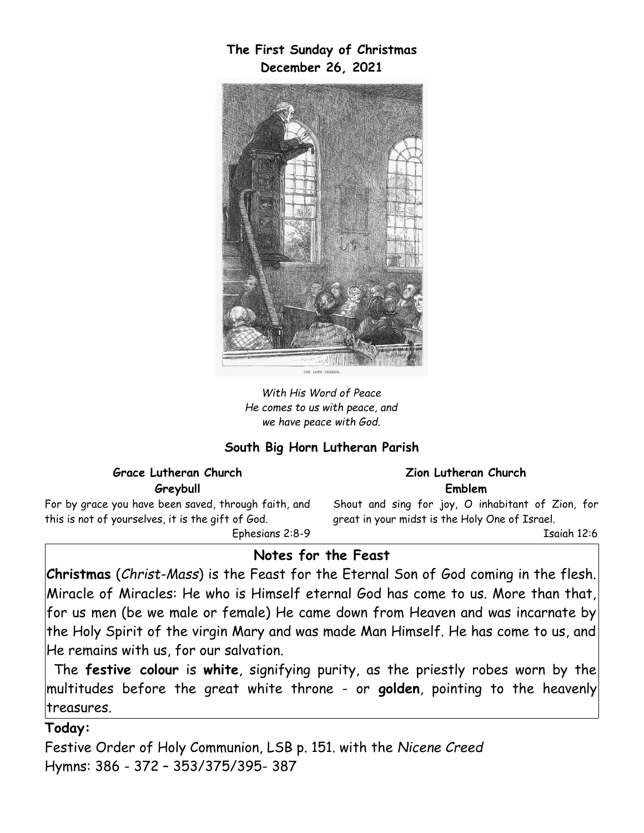**The First Sunday of Christmas December 26, 2021**



*With His Word of Peace He comes to us with peace, and we have peace with God.*

### **South Big Horn Lutheran Parish**

### **Grace Lutheran Church Greybull**

For by grace you have been saved, through faith, and this is not of yourselves, it is the gift of God.

Ephesians 2:8-9

#### **Zion Lutheran Church Emblem**

Shout and sing for joy, O inhabitant of Zion, for great in your midst is the Holy One of Israel.

Isaiah 12:6

### **Notes for the Feast**

**Christmas** (*Christ-Mass*) is the Feast for the Eternal Son of God coming in the flesh. Miracle of Miracles: He who is Himself eternal God has come to us. More than that, for us men (be we male or female) He came down from Heaven and was incarnate by the Holy Spirit of the virgin Mary and was made Man Himself. He has come to us, and He remains with us, for our salvation.

The **festive colour** is **white**, signifying purity, as the priestly robes worn by the multitudes before the great white throne - or **golden**, pointing to the heavenly treasures.

### **Today:**

Festive Order of Holy Communion, LSB p. 151. with the *Nicene Creed* Hymns: 386 - 372 – 353/375/395- 387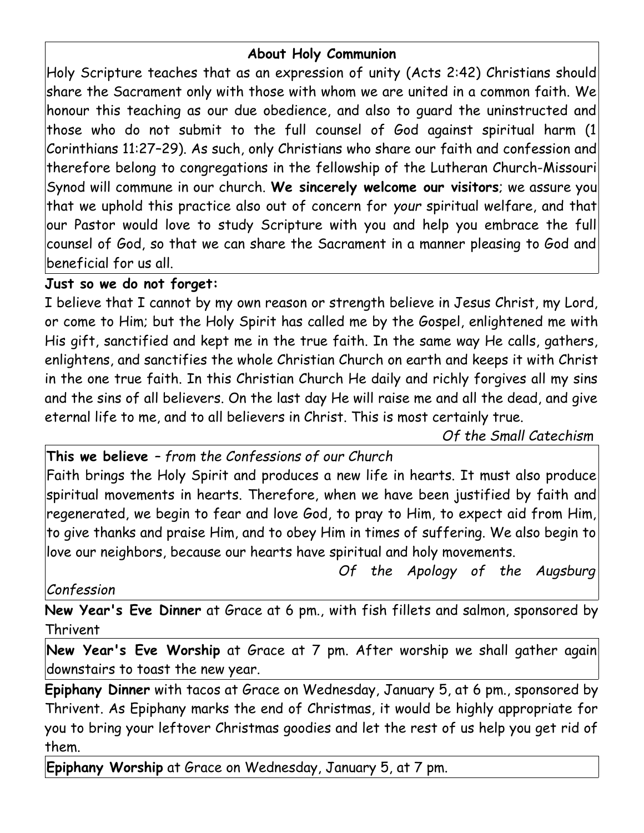# **About Holy Communion**

Holy Scripture teaches that as an expression of unity (Acts 2:42) Christians should share the Sacrament only with those with whom we are united in a common faith. We honour this teaching as our due obedience, and also to guard the uninstructed and those who do not submit to the full counsel of God against spiritual harm (1 Corinthians 11:27–29). As such, only Christians who share our faith and confession and therefore belong to congregations in the fellowship of the Lutheran Church-Missouri Synod will commune in our church. **We sincerely welcome our visitors**; we assure you that we uphold this practice also out of concern for *your* spiritual welfare, and that our Pastor would love to study Scripture with you and help you embrace the full counsel of God, so that we can share the Sacrament in a manner pleasing to God and beneficial for us all.

### **Just so we do not forget:**

I believe that I cannot by my own reason or strength believe in Jesus Christ, my Lord, or come to Him; but the Holy Spirit has called me by the Gospel, enlightened me with His gift, sanctified and kept me in the true faith. In the same way He calls, gathers, enlightens, and sanctifies the whole Christian Church on earth and keeps it with Christ in the one true faith. In this Christian Church He daily and richly forgives all my sins and the sins of all believers. On the last day He will raise me and all the dead, and give eternal life to me, and to all believers in Christ. This is most certainly true.

*Of the Small Catechism*

**This we believe** *– from the Confessions of our Church*

Faith brings the Holy Spirit and produces a new life in hearts. It must also produce spiritual movements in hearts. Therefore, when we have been justified by faith and regenerated, we begin to fear and love God, to pray to Him, to expect aid from Him, to give thanks and praise Him, and to obey Him in times of suffering. We also begin to love our neighbors, because our hearts have spiritual and holy movements.

 *Of the Apology of the Augsburg*

*Confession*

**New Year's Eve Dinner** at Grace at 6 pm., with fish fillets and salmon, sponsored by Thrivent

**New Year's Eve Worship** at Grace at 7 pm. After worship we shall gather again downstairs to toast the new year.

**Epiphany Dinner** with tacos at Grace on Wednesday, January 5, at 6 pm., sponsored by Thrivent. As Epiphany marks the end of Christmas, it would be highly appropriate for you to bring your leftover Christmas goodies and let the rest of us help you get rid of them.

**Epiphany Worship** at Grace on Wednesday, January 5, at 7 pm.